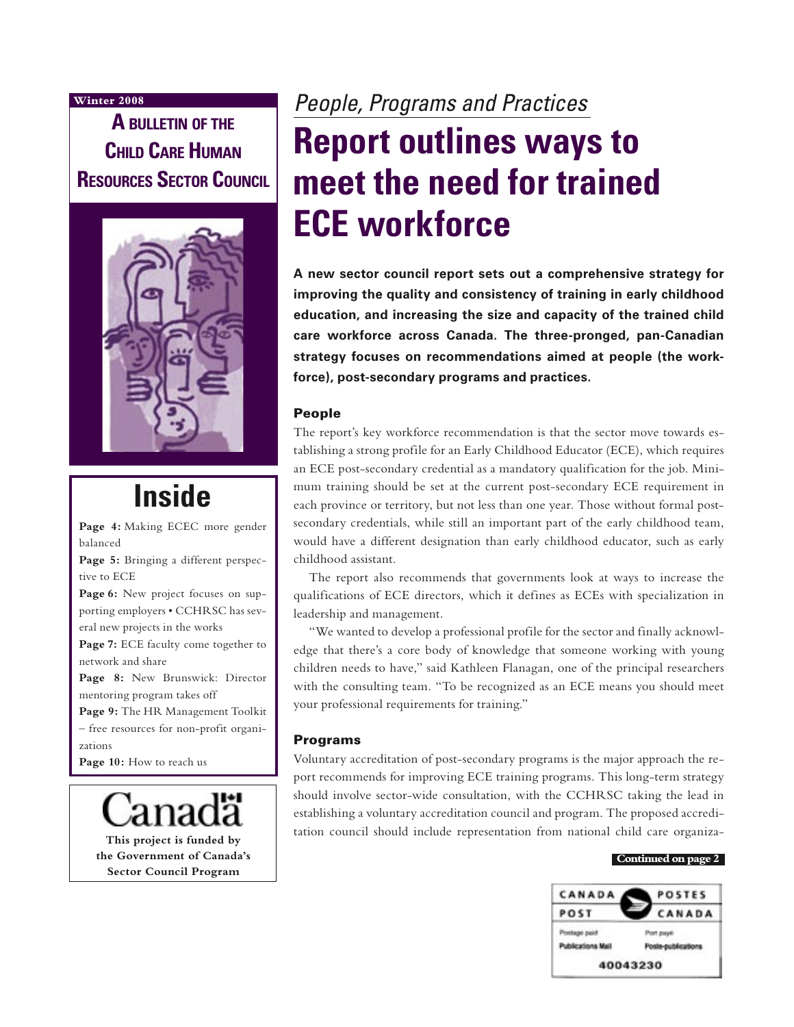### **Winter 2008**

**A BULLETIN OF THE CHILD CARE HUMAN RESOURCES SECTOR COUNCIL**



# **Inside**

**Page 4:** Making ECEC more gender balanced

**Page 5:** Bringing a different perspective to ECE

Page 6: New project focuses on supporting employers • CCHRSC has several new projects in the works

**Page 7:** ECE faculty come together to network and share

**Page 8:** New Brunswick: Director mentoring program takes off

**Page 9:** The HR Management Toolkit – free resources for non-profit organizations

Page 10: How to reach us

**This project is funded by the Government of Canada's Sector Council Program**

# People, Programs and Practices **Report outlines ways to meet the need for trained ECE workforce**

**A new sector council report sets out a comprehensive strategy for improving the quality and consistency of training in early childhood education, and increasing the size and capacity of the trained child care workforce across Canada. The three-pronged, pan-Canadian strategy focuses on recommendations aimed at people (the workforce), post-secondary programs and practices.** 

### People

The report's key workforce recommendation is that the sector move towards establishing a strong profile for an Early Childhood Educator (ECE), which requires an ECE post-secondary credential as a mandatory qualification for the job. Minimum training should be set at the current post-secondary ECE requirement in each province or territory, but not less than one year. Those without formal postsecondary credentials, while still an important part of the early childhood team, would have a different designation than early childhood educator, such as early childhood assistant.

The report also recommends that governments look at ways to increase the qualifications of ECE directors, which it defines as ECEs with specialization in leadership and management.

"We wanted to develop a professional profile for the sector and finally acknowledge that there's a core body of knowledge that someone working with young children needs to have," said Kathleen Flanagan, one of the principal researchers with the consulting team. "To be recognized as an ECE means you should meet your professional requirements for training."

### Programs

Voluntary accreditation of post-secondary programs is the major approach the report recommends for improving ECE training programs. This long-term strategy should involve sector-wide consultation, with the CCHRSC taking the lead in establishing a voluntary accreditation council and program. The proposed accreditation council should include representation from national child care organiza-

#### **Continued on page 2**

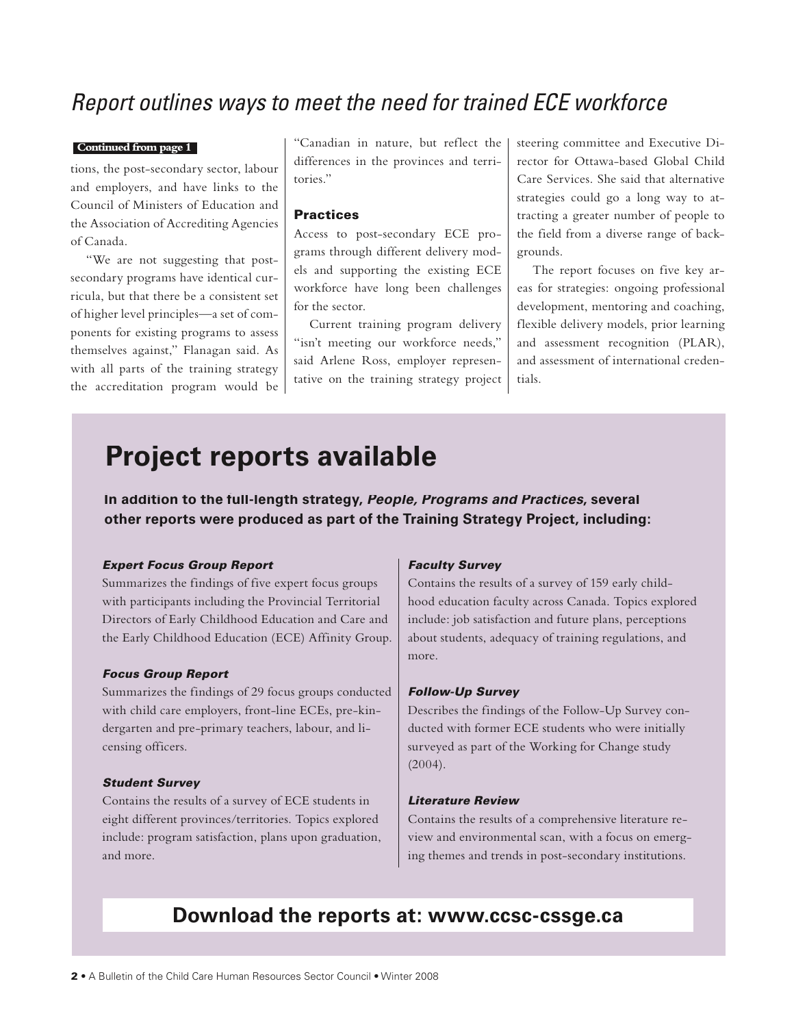# Report outlines ways to meet the need for trained ECE workforce

#### **Continued from page 1**

tions, the post-secondary sector, labour and employers, and have links to the Council of Ministers of Education and the Association of Accrediting Agencies of Canada.

"We are not suggesting that postsecondary programs have identical curricula, but that there be a consistent set of higher level principles—a set of components for existing programs to assess themselves against," Flanagan said. As with all parts of the training strategy the accreditation program would be "Canadian in nature, but reflect the differences in the provinces and territories."

### **Practices**

Access to post-secondary ECE programs through different delivery models and supporting the existing ECE workforce have long been challenges for the sector.

Current training program delivery "isn't meeting our workforce needs," said Arlene Ross, employer representative on the training strategy project steering committee and Executive Director for Ottawa-based Global Child Care Services. She said that alternative strategies could go a long way to attracting a greater number of people to the field from a diverse range of backgrounds.

The report focuses on five key areas for strategies: ongoing professional development, mentoring and coaching, flexible delivery models, prior learning and assessment recognition (PLAR), and assessment of international credentials.

# **Project reports available**

**In addition to the full-length strategy, People, Programs and Practices, several other reports were produced as part of the Training Strategy Project, including:**

### Expert Focus Group Report

Summarizes the findings of five expert focus groups with participants including the Provincial Territorial Directors of Early Childhood Education and Care and the Early Childhood Education (ECE) Affinity Group.

#### Focus Group Report

Summarizes the findings of 29 focus groups conducted with child care employers, front-line ECEs, pre-kindergarten and pre-primary teachers, labour, and licensing officers.

#### Student Survey

Contains the results of a survey of ECE students in eight different provinces/territories. Topics explored include: program satisfaction, plans upon graduation, and more.

#### Faculty Survey

Contains the results of a survey of 159 early childhood education faculty across Canada. Topics explored include: job satisfaction and future plans, perceptions about students, adequacy of training regulations, and more.

### Follow-Up Survey

Describes the findings of the Follow-Up Survey conducted with former ECE students who were initially surveyed as part of the Working for Change study (2004).

#### Literature Review

Contains the results of a comprehensive literature review and environmental scan, with a focus on emerging themes and trends in post-secondary institutions.

# **Download the reports at: www.ccsc-cssge.ca**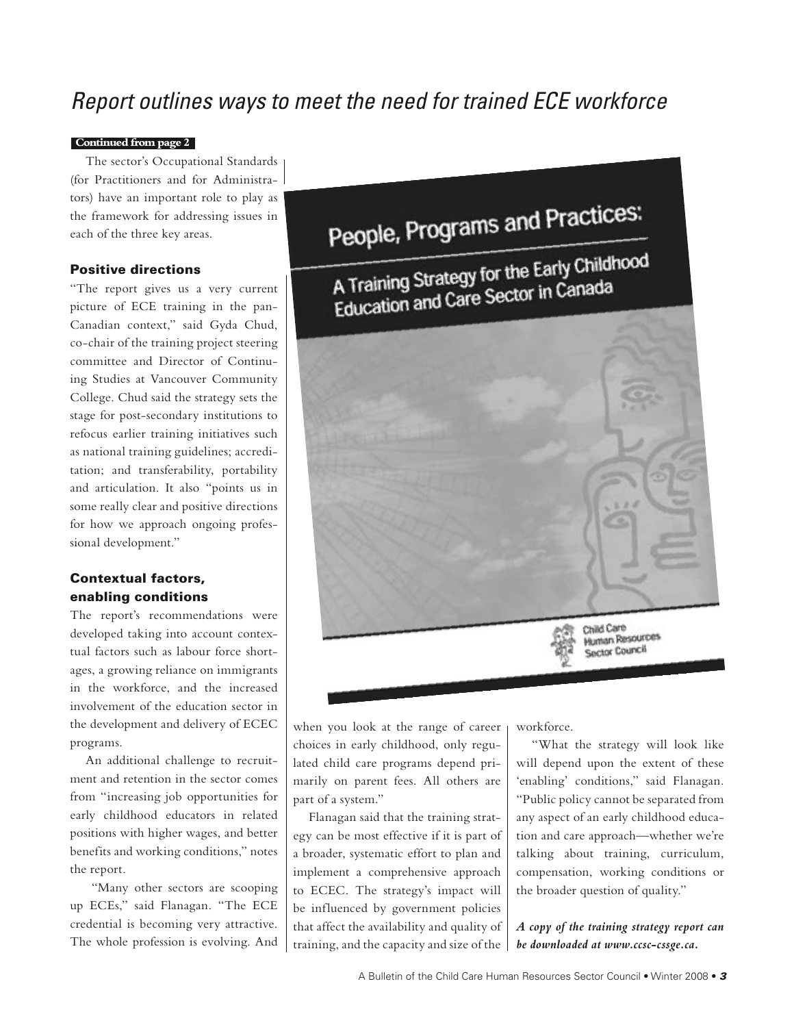# Report outlines ways to meet the need for trained ECE workforce

### **Continued from page 2**

The sector's Occupational Standards (for Practitioners and for Administrators) have an important role to play as the framework for addressing issues in each of the three key areas.

### Positive directions

"The report gives us a very current picture of ECE training in the pan-Canadian context," said Gyda Chud, co-chair of the training project steering committee and Director of Continuing Studies at Vancouver Community College. Chud said the strategy sets the stage for post-secondary institutions to refocus earlier training initiatives such as national training guidelines; accreditation; and transferability, portability and articulation. It also "points us in some really clear and positive directions for how we approach ongoing professional development."

### Contextual factors, enabling conditions

The report's recommendations were developed taking into account contextual factors such as labour force shortages, a growing reliance on immigrants in the workforce, and the increased involvement of the education sector in the development and delivery of ECEC programs.

An additional challenge to recruitment and retention in the sector comes from "increasing job opportunities for early childhood educators in related positions with higher wages, and better benefits and working conditions," notes the report.

 "Many other sectors are scooping up ECEs," said Flanagan. "The ECE credential is becoming very attractive. The whole profession is evolving. And People, Programs and Practices: A Training Strategy for the Early Childhood A Training Strategy for the Languarda<br>Education and Care Sector in Canada

Child Care Child Care<br>Human Resources Sector Council

when you look at the range of career choices in early childhood, only regulated child care programs depend primarily on parent fees. All others are part of a system."

Flanagan said that the training strategy can be most effective if it is part of a broader, systematic effort to plan and implement a comprehensive approach to ECEC. The strategy's impact will be influenced by government policies that affect the availability and quality of training, and the capacity and size of the workforce.

"What the strategy will look like will depend upon the extent of these 'enabling' conditions," said Flanagan. "Public policy cannot be separated from any aspect of an early childhood education and care approach—whether we're talking about training, curriculum, compensation, working conditions or the broader question of quality."

*A copy of the training strategy report can be downloaded at www.ccsc-cssge.ca.*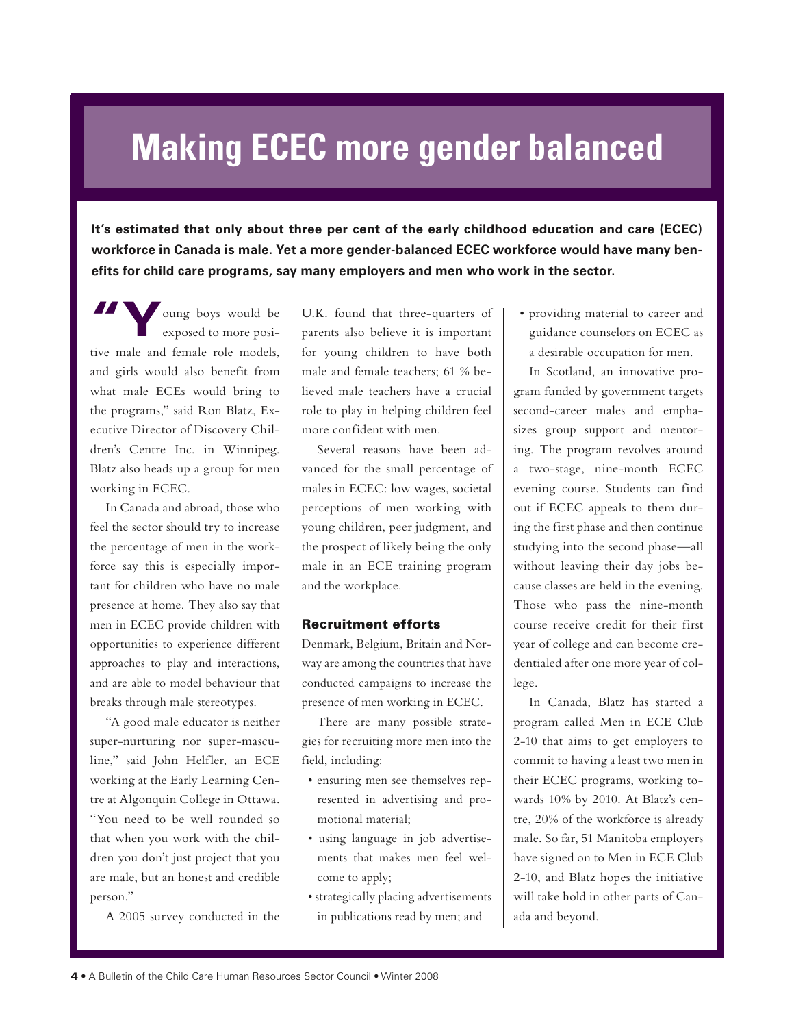# **Making ECEC more gender balanced**

**It's estimated that only about three per cent of the early childhood education and care (ECEC) workforce in Canada is male. Yet a more gender-balanced ECEC workforce would have many benefits for child care programs, say many employers and men who work in the sector.**

**"Y**oung boys would be exposed to more positive male and female role models, and girls would also benefit from what male ECEs would bring to the programs," said Ron Blatz, Executive Director of Discovery Children's Centre Inc. in Winnipeg. Blatz also heads up a group for men working in ECEC.

In Canada and abroad, those who feel the sector should try to increase the percentage of men in the workforce say this is especially important for children who have no male presence at home. They also say that men in ECEC provide children with opportunities to experience different approaches to play and interactions, and are able to model behaviour that breaks through male stereotypes.

"A good male educator is neither super-nurturing nor super-masculine," said John Helfler, an ECE working at the Early Learning Centre at Algonquin College in Ottawa. "You need to be well rounded so that when you work with the children you don't just project that you are male, but an honest and credible person."

A 2005 survey conducted in the

U.K. found that three-quarters of parents also believe it is important for young children to have both male and female teachers; 61 % believed male teachers have a crucial role to play in helping children feel more confident with men.

Several reasons have been advanced for the small percentage of males in ECEC: low wages, societal perceptions of men working with young children, peer judgment, and the prospect of likely being the only male in an ECE training program and the workplace.

### Recruitment efforts

Denmark, Belgium, Britain and Norway are among the countries that have conducted campaigns to increase the presence of men working in ECEC.

There are many possible strategies for recruiting more men into the field, including:

- ensuring men see themselves represented in advertising and promotional material;
- using language in job advertisements that makes men feel welcome to apply;
- strategically placing advertisements in publications read by men; and

• providing material to career and guidance counselors on ECEC as a desirable occupation for men.

In Scotland, an innovative program funded by government targets second-career males and emphasizes group support and mentoring. The program revolves around a two-stage, nine-month ECEC evening course. Students can find out if ECEC appeals to them during the first phase and then continue studying into the second phase—all without leaving their day jobs because classes are held in the evening. Those who pass the nine-month course receive credit for their first year of college and can become credentialed after one more year of college.

In Canada, Blatz has started a program called Men in ECE Club 2-10 that aims to get employers to commit to having a least two men in their ECEC programs, working towards 10% by 2010. At Blatz's centre, 20% of the workforce is already male. So far, 51 Manitoba employers have signed on to Men in ECE Club 2-10, and Blatz hopes the initiative will take hold in other parts of Canada and beyond.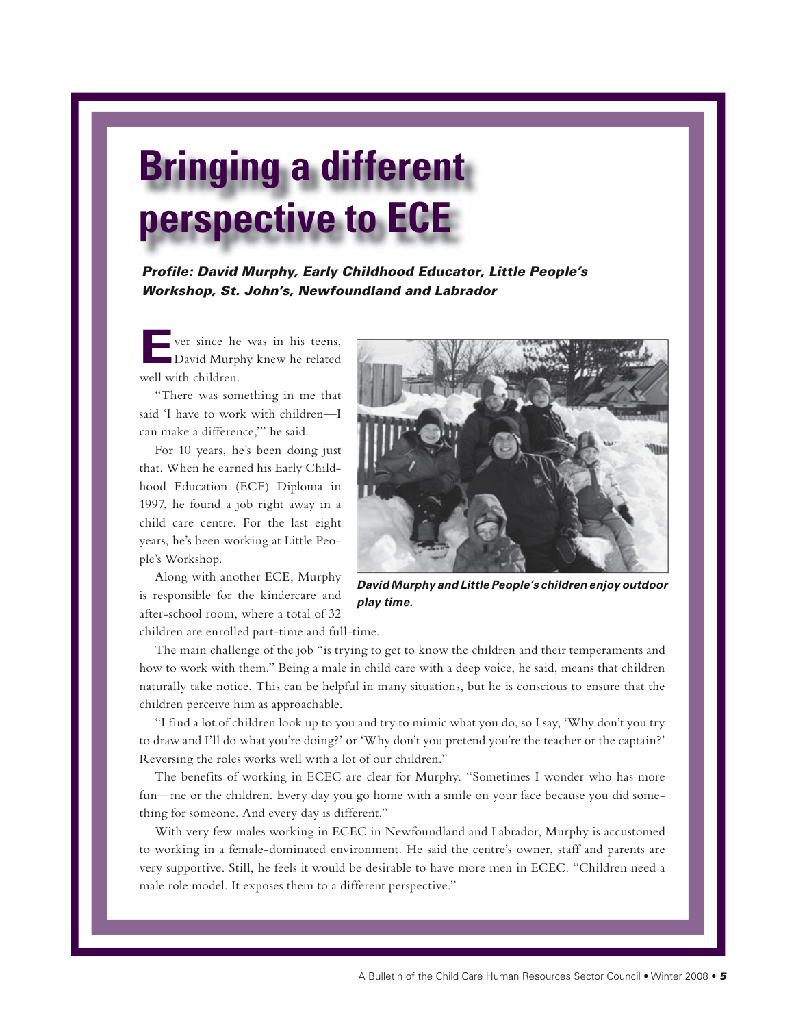# **Bringing a different perspective to ECE**

Profile: David Murphy, Early Childhood Educator, Little People's Workshop, St. John's, Newfoundland and Labrador

ver since he was in his teens, David Murphy knew he related well with children.

"There was something in me that said 'I have to work with children—I can make a difference,'" he said.

For 10 years, he's been doing just that. When he earned his Early Childhood Education (ECE) Diploma in 1997, he found a job right away in a child care centre. For the last eight years, he's been working at Little People's Workshop.

Along with another ECE, Murphy is responsible for the kindercare and after-school room, where a total of 32 children are enrolled part-time and full-time.



**David Murphy and Little People's children enjoy outdoor play time.**

The main challenge of the job "is trying to get to know the children and their temperaments and how to work with them." Being a male in child care with a deep voice, he said, means that children naturally take notice. This can be helpful in many situations, but he is conscious to ensure that the children perceive him as approachable.

"I find a lot of children look up to you and try to mimic what you do, so I say, 'Why don't you try to draw and I'll do what you're doing?' or 'Why don't you pretend you're the teacher or the captain?' Reversing the roles works well with a lot of our children."

The benefits of working in ECEC are clear for Murphy. "Sometimes I wonder who has more fun—me or the children. Every day you go home with a smile on your face because you did something for someone. And every day is different."

With very few males working in ECEC in Newfoundland and Labrador, Murphy is accustomed to working in a female-dominated environment. He said the centre's owner, staff and parents are very supportive. Still, he feels it would be desirable to have more men in ECEC. "Children need a male role model. It exposes them to a different perspective."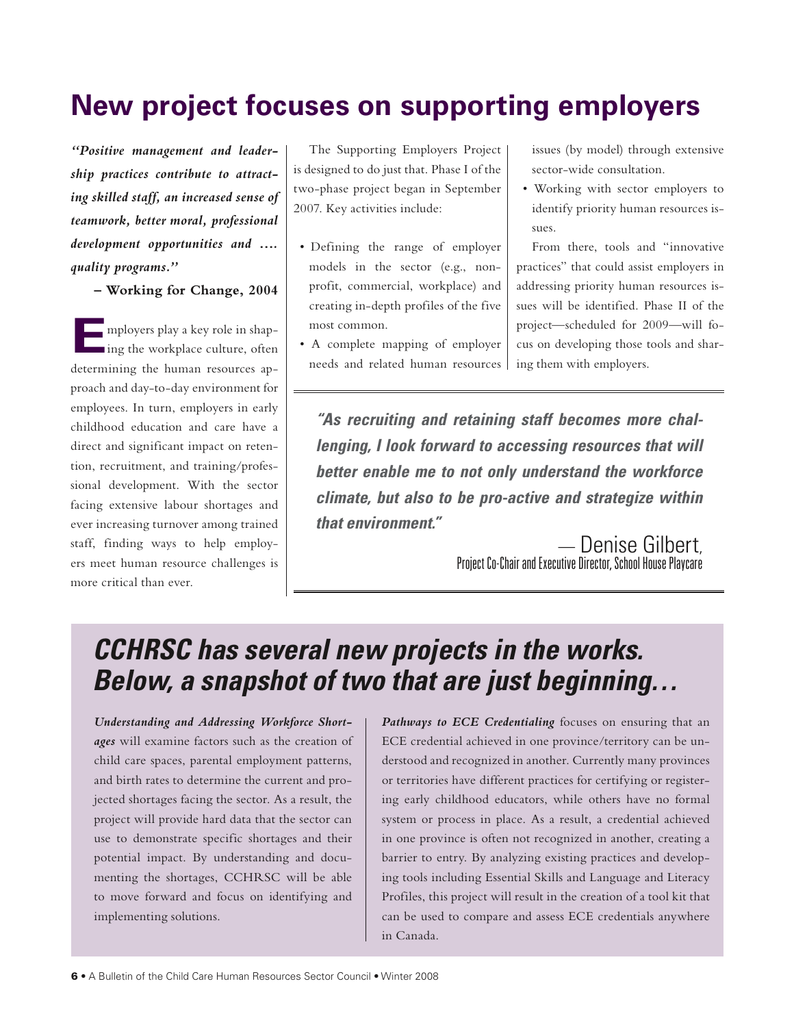# **New project focuses on supporting employers**

*"Positive management and leadership practices contribute to attracting skilled staff, an increased sense of teamwork, better moral, professional development opportunities and …. quality programs."* 

**– Working for Change, 2004**

**E**mployers play a key role in shaping the workplace culture, often determining the human resources approach and day-to-day environment for employees. In turn, employers in early childhood education and care have a direct and significant impact on retention, recruitment, and training/professional development. With the sector facing extensive labour shortages and ever increasing turnover among trained staff, finding ways to help employers meet human resource challenges is more critical than ever.

The Supporting Employers Project is designed to do just that. Phase I of the two-phase project began in September 2007. Key activities include:

- Defining the range of employer models in the sector (e.g., nonprofit, commercial, workplace) and creating in-depth profiles of the five most common.
- A complete mapping of employer needs and related human resources

issues (by model) through extensive sector-wide consultation.

• Working with sector employers to identify priority human resources is- $\epsilon$ 11 $\epsilon$ 

From there, tools and "innovative practices" that could assist employers in addressing priority human resources issues will be identified. Phase II of the project—scheduled for 2009—will focus on developing those tools and sharing them with employers.

**"As recruiting and retaining staff becomes more challenging, I look forward to accessing resources that will better enable me to not only understand the workforce climate, but also to be pro-active and strategize within that environment."**

— Denise Gilbert, Project Co-Chair and Executive Director, School House Playcare

# **CCHRSC has several new projects in the works. Below, a snapshot of two that are just beginning…**

*Understanding and Addressing Workforce Shortages* will examine factors such as the creation of child care spaces, parental employment patterns, and birth rates to determine the current and projected shortages facing the sector. As a result, the project will provide hard data that the sector can use to demonstrate specific shortages and their potential impact. By understanding and documenting the shortages, CCHRSC will be able to move forward and focus on identifying and implementing solutions.

*Pathways to ECE Credentialing* focuses on ensuring that an ECE credential achieved in one province/territory can be understood and recognized in another. Currently many provinces or territories have different practices for certifying or registering early childhood educators, while others have no formal system or process in place. As a result, a credential achieved in one province is often not recognized in another, creating a barrier to entry. By analyzing existing practices and developing tools including Essential Skills and Language and Literacy Profiles, this project will result in the creation of a tool kit that can be used to compare and assess ECE credentials anywhere in Canada.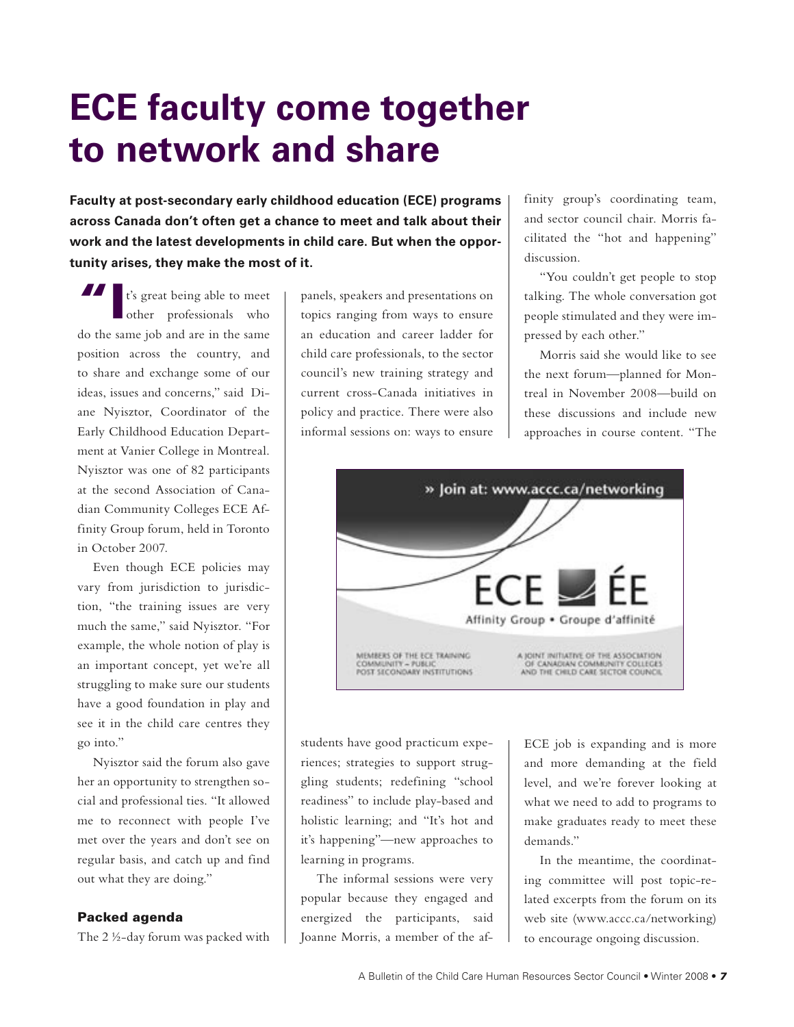# **ECE faculty come together to network and share**

**Faculty at post-secondary early childhood education (ECE) programs across Canada don't often get a chance to meet and talk about their work and the latest developments in child care. But when the opportunity arises, they make the most of it.** 

II t's great being able to meet<br>
other professionals who do the same job and are in the same position across the country, and to share and exchange some of our ideas, issues and concerns," said Diane Nyisztor, Coordinator of the Early Childhood Education Department at Vanier College in Montreal. Nyisztor was one of 82 participants at the second Association of Canadian Community Colleges ECE Affinity Group forum, held in Toronto in October 2007.

Even though ECE policies may vary from jurisdiction to jurisdiction, "the training issues are very much the same," said Nyisztor. "For example, the whole notion of play is an important concept, yet we're all struggling to make sure our students have a good foundation in play and see it in the child care centres they go into."

Nyisztor said the forum also gave her an opportunity to strengthen social and professional ties. "It allowed me to reconnect with people I've met over the years and don't see on regular basis, and catch up and find out what they are doing."

### Packed agenda

The 2 ½-day forum was packed with

panels, speakers and presentations on topics ranging from ways to ensure an education and career ladder for child care professionals, to the sector council's new training strategy and current cross-Canada initiatives in policy and practice. There were also informal sessions on: ways to ensure

finity group's coordinating team, and sector council chair. Morris facilitated the "hot and happening" discussion.

"You couldn't get people to stop talking. The whole conversation got people stimulated and they were impressed by each other."

Morris said she would like to see the next forum—planned for Montreal in November 2008—build on these discussions and include new approaches in course content. "The



students have good practicum experiences; strategies to support struggling students; redefining "school readiness" to include play-based and holistic learning; and "It's hot and it's happening"—new approaches to learning in programs.

The informal sessions were very popular because they engaged and energized the participants, said Joanne Morris, a member of the afECE job is expanding and is more and more demanding at the field level, and we're forever looking at what we need to add to programs to make graduates ready to meet these demands."

In the meantime, the coordinating committee will post topic-related excerpts from the forum on its web site (www.accc.ca/networking) to encourage ongoing discussion.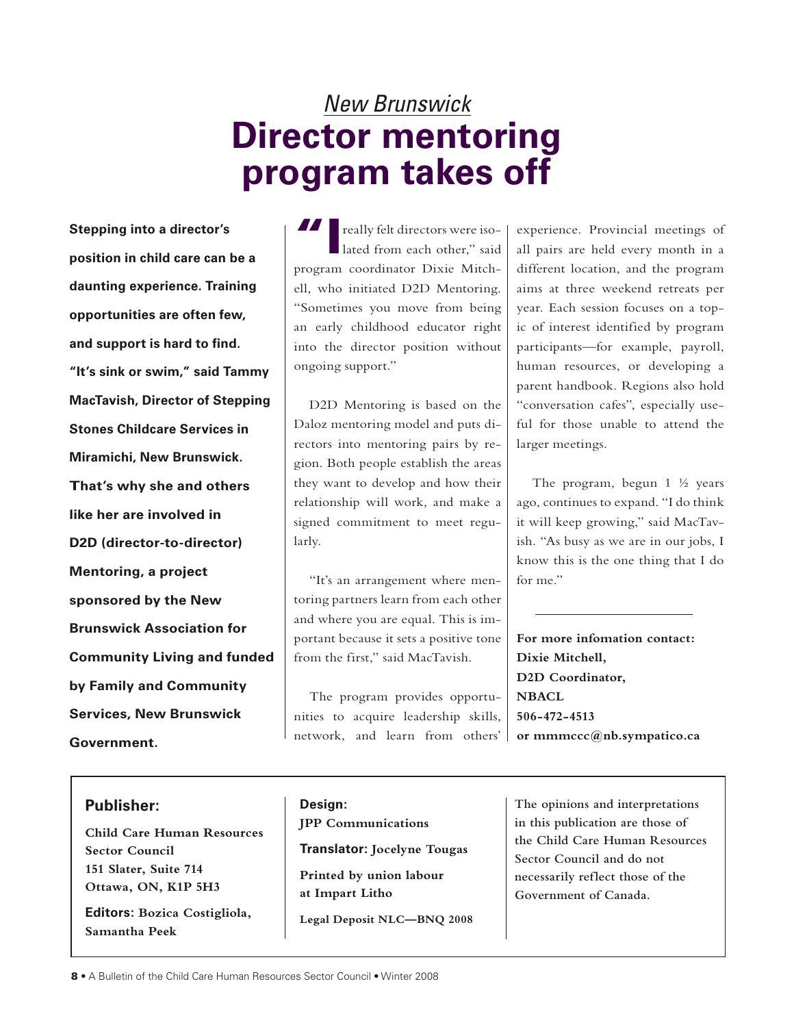# New Brunswick **Director mentoring program takes off**

**Stepping into a director's position in child care can be a daunting experience. Training opportunities are often few, and support is hard to find. "It's sink or swim," said Tammy MacTavish, Director of Stepping Stones Childcare Services in Miramichi, New Brunswick. That's why she and others like her are involved in D2D (director-to-director) Mentoring, a project sponsored by the New Brunswick Association for Community Living and funded by Family and Community Services, New Brunswick Government.** 

### **Publisher:**

**Child Care Human Resources Sector Council 151 Slater, Suite 714 Ottawa, ON, K1P 5H3**

**Editors: Bozica Costigliola, Samantha Peek**

**I** really felt directors were isolated from each other," said program coordinator Dixie Mitchell, who initiated D2D Mentoring. "Sometimes you move from being an early childhood educator right into the director position without ongoing support."

D2D Mentoring is based on the Daloz mentoring model and puts directors into mentoring pairs by region. Both people establish the areas they want to develop and how their relationship will work, and make a signed commitment to meet regularly.

"It's an arrangement where mentoring partners learn from each other and where you are equal. This is important because it sets a positive tone from the first," said MacTavish.

The program provides opportunities to acquire leadership skills, network, and learn from others' experience. Provincial meetings of all pairs are held every month in a different location, and the program aims at three weekend retreats per year. Each session focuses on a topic of interest identified by program participants—for example, payroll, human resources, or developing a parent handbook. Regions also hold "conversation cafes", especially useful for those unable to attend the larger meetings.

The program, begun 1 ½ years ago, continues to expand. "I do think it will keep growing," said MacTavish. "As busy as we are in our jobs, I know this is the one thing that I do for me."

**For more infomation contact: Dixie Mitchell, D2D Coordinator, NBACL 506-472-4513 or mmmccc@nb.sympatico.ca**

**Design: JPP Communications Translator: Jocelyne Tougas Printed by union labour at Impart Litho**

**Legal Deposit NLC—BNQ 2008**

**The opinions and interpretations in this publication are those of the Child Care Human Resources Sector Council and do not necessarily reflect those of the Government of Canada.**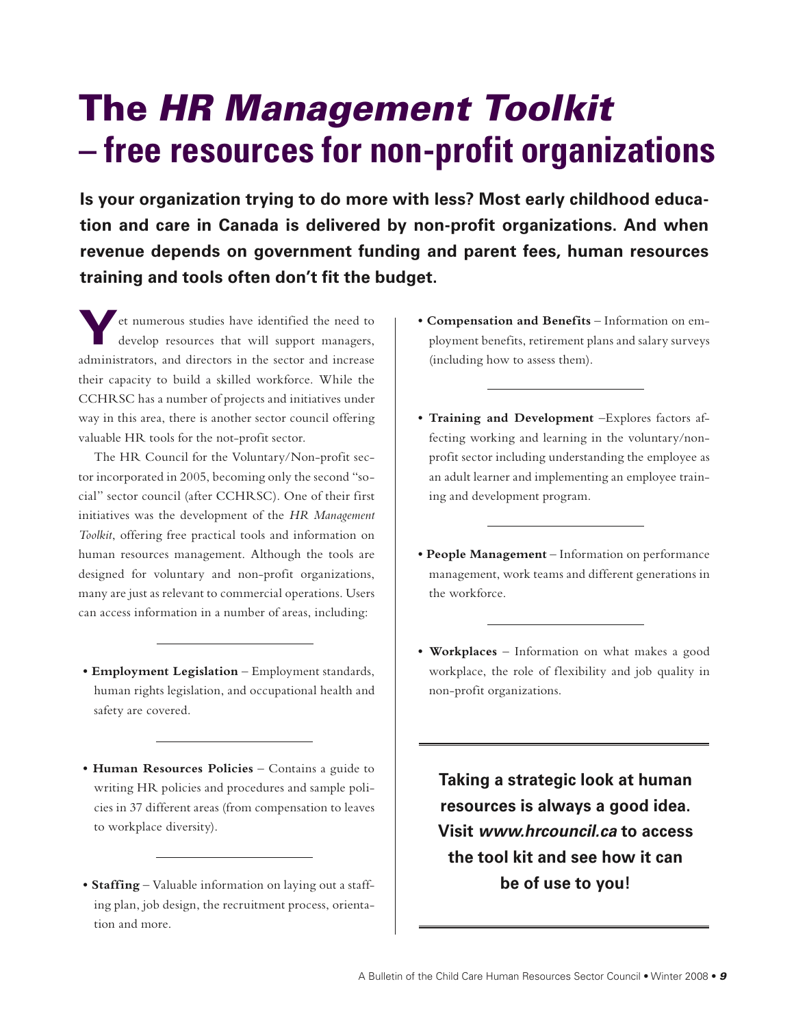# The HR Management Toolkit **– free resources for non-profit organizations**

**Is your organization trying to do more with less? Most early childhood education and care in Canada is delivered by non-profit organizations. And when revenue depends on government funding and parent fees, human resources training and tools often don't fit the budget.** 

**Y**et numerous studies have identified the need to develop resources that will support managers, administrators, and directors in the sector and increase their capacity to build a skilled workforce. While the CCHRSC has a number of projects and initiatives under way in this area, there is another sector council offering valuable HR tools for the not-profit sector.

The HR Council for the Voluntary/Non-profit sector incorporated in 2005, becoming only the second "social" sector council (after CCHRSC). One of their first initiatives was the development of the *HR Management Toolkit*, offering free practical tools and information on human resources management. Although the tools are designed for voluntary and non-profit organizations, many are just as relevant to commercial operations. Users can access information in a number of areas, including:

- **Employment Legislation** Employment standards, human rights legislation, and occupational health and safety are covered.
- **Human Resources Policies** Contains a guide to writing HR policies and procedures and sample policies in 37 different areas (from compensation to leaves to workplace diversity).
- **Staffing** Valuable information on laying out a staffing plan, job design, the recruitment process, orientation and more.
- **Compensation and Benefits** Information on employment benefits, retirement plans and salary surveys (including how to assess them).
- **Training and Development** –Explores factors affecting working and learning in the voluntary/nonprofit sector including understanding the employee as an adult learner and implementing an employee training and development program.
- **People Management** Information on performance management, work teams and different generations in the workforce.
- **Workplaces** Information on what makes a good workplace, the role of flexibility and job quality in non-profit organizations.

**Taking a strategic look at human resources is always a good idea. Visit www.hrcouncil.ca to access the tool kit and see how it can be of use to you!**